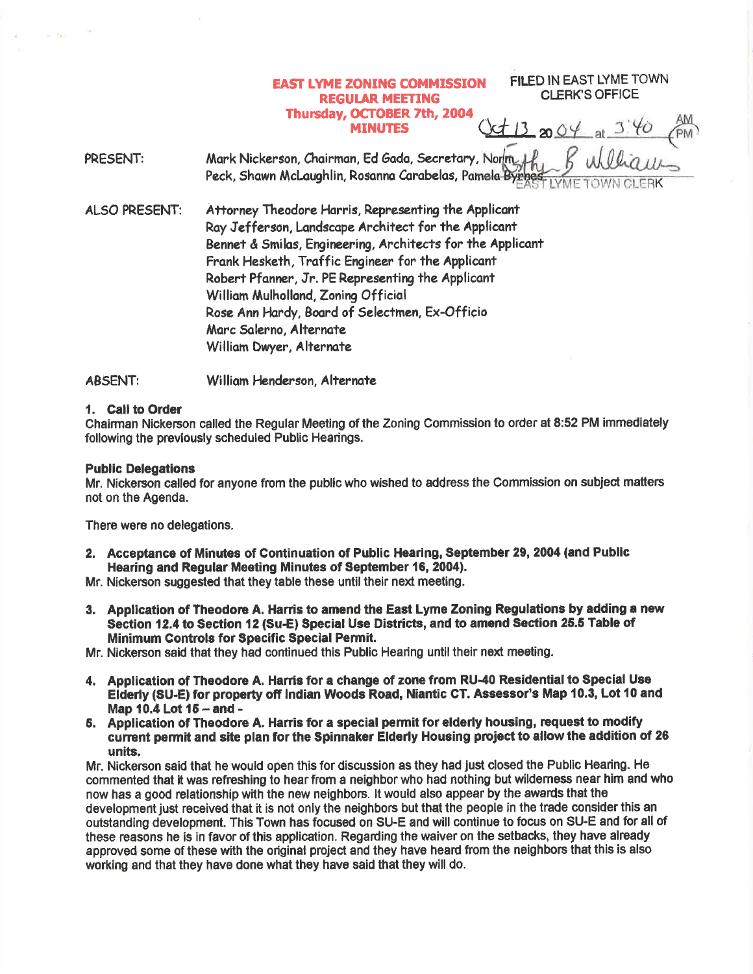## **EAST LYME ZONING COMMISSION REGULAR MEETING** Thurcday, OCTOBER 7th, 2OO4 **MINUTES**

FILED IN EAST LYME TOWN CLERK'S OFFICE

 $Qt132004$  at  $376$ 

PRESENT: Mark Nickerson, Chairman, Ed Gada, Secretary, Norm Peck, Shawn McLaughlin, Rosanna Carabelas, Pamela Byrnes K

ALSO PRESENT: Attorney Theodore Harris, Representing the Applicant Ray Jefferson, Landscape Architect for the Applicant Bennet & Smilas, Engineering, Architects for the Applicant Fronk Heskath, Troffic Ergineer for fhe Applicont Robert Pfanner, Jr. PE Representing the Applicant William Mulholland, Zoning Official Rose Ann Hardy, Board of Selectmen, Ex-Officio Marc Salerno, Alternate William Dwyer, Alternate

ABSENT: William Henderson, Alternate

#### 1. Call to Order

Chairman Nickerson called the Regular Meeting of the Zoning Commission to order at 8:52 PM immediately following the prevlously scheduled Public Hearings.

#### Public Delegations

Mr. Nickerson called for anyone from the public who wished to address the Commission on subject matters not on the Agenda.

There were no delegations.

- 2. Acceptance of Minutes of Continuation of Public Hearing, September 29, 2004 (and Public Hearing and Regular Meeting Minutes of September 16, 2004).
- Mr. Nickerson suggested that they table these until their next meeting.
- 3. Application of Theodore A. Harris to amend the East Lyme Zoning Regulations by adding a new Section 12.4 to Section 12 (Su-E) Special Use Districts, and to amend Section 25.5 Table of Minimum Controls for Specific Special Permit.

Mr. Nickerson said that they had continued this Public Hearing until their next meeting.

- 4. Application of Theodore A. Harris for a change of zone from RU-40 Residential to Special Use Elderly (SU-E) for property off Indian Woods Road, Niantic CT. Assessor's Map 10.3, Lot 10 and Map 10.4 Lot 15 - and -
- 5. Application of Theodore A. Hanis for a special permit for elderly housing, requeet to modify cunent permit and sfte plan for the \$pinnaker Elderly Housing project to allow the addition of 26 units.

Mr. Nickerson said that he would open this for discussion as they had just closed the Public Hearing. He commented that it was refreshing to hear from e neighbor who had nothing but wildemess near him and who now has a good relationship with the new neighbors. lt would also appear by the ewads that the development just received that it is not only the neighbors but that the people in the trade consider this an outstanding development. This Town has focused on SU-E and will continue to focus on SU-E and for all of these reasons he is in favor of this application. Regarding the waiver on the setbacks, they have already approved some of these with the original project and they have heard from the neighbors that this is also working and that they have done what they have said that they will do.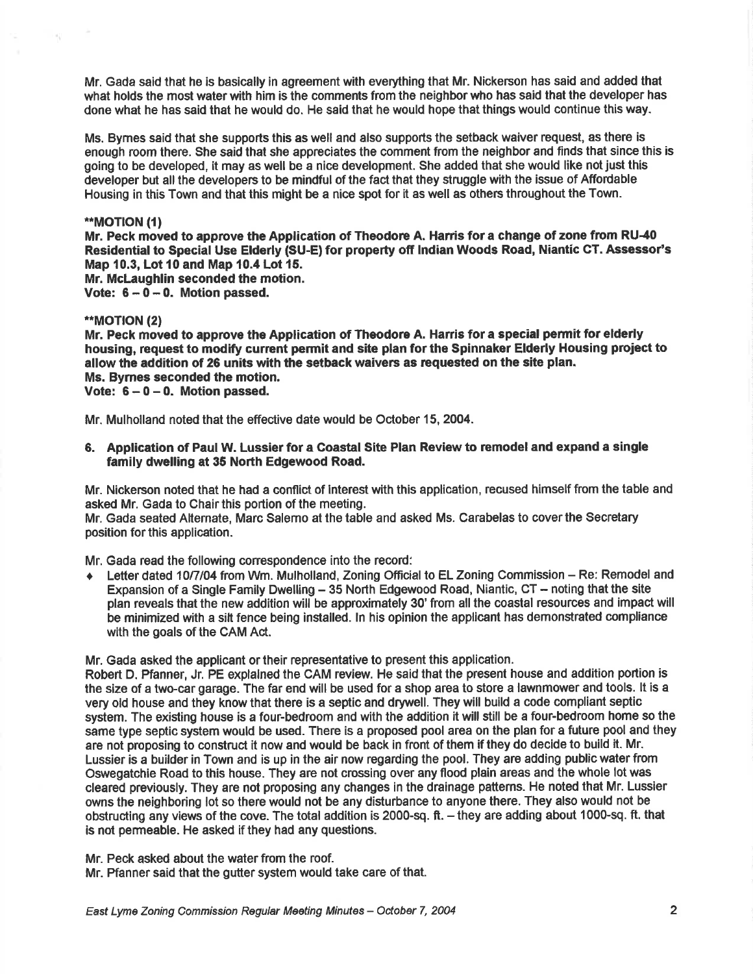Mr. Gada said that he is basically in agreement with everything that Mr. Nickerson has said and added that what holds the most water with him is the comments from the neighbor who has said that the developer has done what he has said that he would do. He sald that he would hope that things would continue this way.

Ms. Bymes said that she supports this as well and also supports the setback waiver request, as there is enough room there. She said that she appreciates the comment from the neighbor and finds that since this is going to be developed, it may as well be a nice development. She added that she would like not just this developer but all the developers to be mindful of the fact that they struggle with the issue of Affordable Housing in this Town and that this might be a nice spot for it as well as others throughout the Town.

#### \*MOT|ON (l)

여동

Mr. Peck moved to approve the Application of Theodore A. Harris for a change of zone from RU-40 Residential to Special Use Elderly (SU-E) for property ofr lndian Woods Road, Niantic CT. Assessor's Map 10.3, Lot 10 and Map 10.4 Lot 15.

Mr. McLaughlin seconded the motion.

Vote:  $6 - 0 - 0$ . Motion passed.

## \*MOT|ON (21

Mr. Peck moved to approve the Application of Theodore A, Haris for a special permit for elderly housing, request to modify current permit and site plan forthe Spinnaker Elderly Housing proiect to allow the addition of 26 units with the setback waivers as requested on the site plan. Ms. Bymes seconded the motion.

Vote:  $6 - 0 - 0$ . Motion passed.

Mr. Mulholland noted that the effective date would be October 15, 2004.

6. Application of Paul W. Lussier for a Coastal Site Plan Review to remodel and expand a single family dwelling at 35 North Edgewood Road.

Mr. Nickerson noted that he had a conflict of interest with this application, recused himself from the table and asked Mr. Gada to Chair this portion of the meeting.

Mr. Gada seated Alternate, Marc Salemo at the table and asked Ms. Carabelas to coverthe Secretary position for this application.

Mr. Gada read the following correspondence into the record:

• Letter dated 10/7/04 from Wm. Mulholland, Zoning Official to EL Zoning Commission – Re: Remodel and Expansion of a Single Family Dwelling - 35 North Edgewood Road, Niantic, CT - noting that the site plan reveals that the new addition will be approximately 30' from all the coastal resources and impact will be minimized with a sitt fence being installed. ln his opinion the applicant has demonstrated compliance with the goals of the CAM Act.

Mr. Gada asked the applicant or their representative to present this application.

Robert D. Pfanner, Jr. PE explalned the CAM review. He said that the present house and addition portion is the size of a two-car garage. The far end will be used for a shop area to store a lawnmower and tools. lt is a very old house and they know thet there is a septic and drywell. They will build a code compliant septic system. The existing house is a four-bedroom and with the addition it will still be a four-bedroom home so the same type septic system would be used. There is a proposed pool area on the plan for a future pool and they are not proposing to construct it now and would be back in front of them if they do decide to build it. Mr. Lussier is a builder in Town and is up in the air now regarding the pool. They are adding public water from Oswegatchie Road to this house. They are not crossing over any flood plain areas and the whole lot was cleared previously. They are not proposing any changes in the drainage patterns. He noted that Mr. Lussler owns the neighboring lot so there would not be any disturbance to anyone there. They also would not be obstructing any views of the cove. The total addition is 2000-sq. ft. - they are adding about 1000-sq. ft. that is not permeable. He asked if they had any questions.

Mr. Peck asked about the water from the roof.

Mr. Pfanner said that the gutter system would take care of that.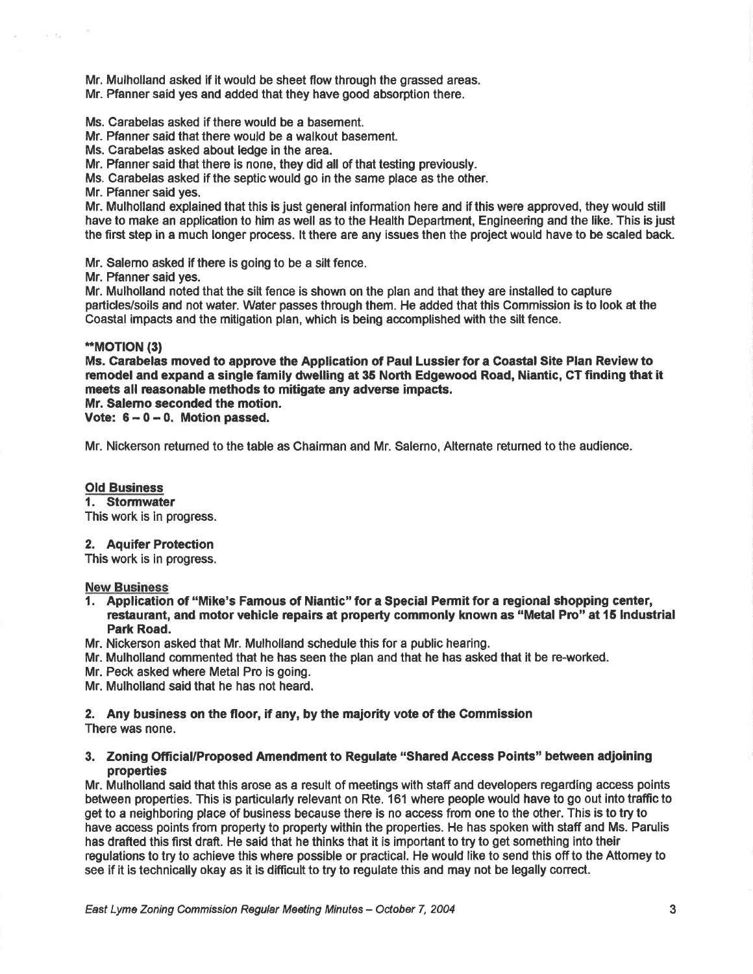Mr. Mulholland asked if it would be sheet flow through the grassed areas.

Mr. Pfanner said yes and added that they have good absorption there.

Ms. Carabelas asked if there would be a basement.

Mr. Pfanner said that there would be a walkout basement.

Ms. Carabelas asked about ledge in the area.

Mr. Pfanner said that there is none, they did all of that testing previously.

Ms. Carabelas asked if the septic would go in the same place as the other.

Mr. Ffanner said yes.

 $\epsilon \to \epsilon \gamma$ 

Mr. Mulholland explained that this is just general information here and if this were approved, they would still have to make an application to him as well as to the Health Department, Engineering and the like. This is just the first step in a much longer process. lt there are any issues then the project would have to be scaled back.

Mr. Salemo asked if there is going to be a silt fence.

Mr. Pfanner said yes.

Mf. Mulholland noted that the silt fence is shown on the plan and that they are installed to capture particles/soils and not water. Water passes through them. He added that this Commission is to look at the Coastal impacts and the mitigation plan, which is being accomplished with the silt fence.

#### \*\*MOTION (3)

Ms. Garabelas moved to apprcve the Application of Paul Lussier for a Goastal Site Plan Review to remodel and expand a single family dwelling at 35 North Edgewood Road, Niantic, CT finding that it meets all reasonable methods to mitigate any adverse impacts.

Mr. Salemo seconded the motion. Vote:  $6 - 0 - 0$ . Motion passed.

Mr. Nickerson returned to the table as Chairman and Mr. Salerno, Alternate retumed to the audience.

## Old Business

1. Stormwater

This work is in progress.

### 2. Aquifer Protection

This work is in progress.

**New Business** 

- 1. Application of "Mike's Famous of Niantic" for a Special Permit for a rcgional shopping center, restaurant, and motor vehicle repairs at property commonly known as "Metal Pro" at 15 Industrial Park Road.
- Mr. Nickerson asked that Mr. Mulholland schedule this for a public hearing.
- Mr. Mulholland commented that he has seen the plan and that he has asked that it be re-worked.
- Mr. Peck asked where Metal Pro is going.

Mr. Mulholland said that he has not heard,

2. Any business on the floor, if any, by the majority vote of the Commission There was none.

## 3. Zoning Ofiicial/Proposed Amendment to Regulate "Sharcd Access Points" between adjoining properties

Mr. Mulholland said that this arose as a result of meetings with staff and developers regarding access points between properties. This is particularly relevant on Rte. 161 where people would have to go out into traffic to get to a neighboring place of business because there is no access from one to the other. This is to try to have access points from property to property within the properties. He has spoken with staff and Ms. Parulis has drafted this first draft. He said that he thinks that it is important to try to get something into their regulations to try to achieve this where possible or practical. He would like to send this off to the Attomey to see if it is technically okay as it is difficult to try to regulate this and may not be legally conect.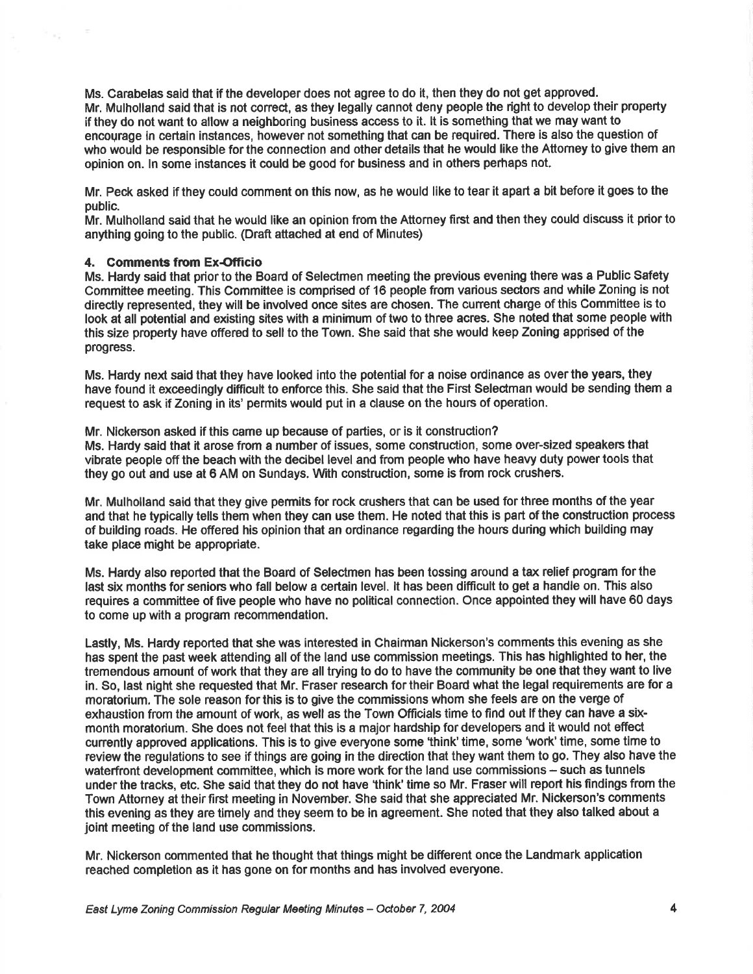Ms. Carabelas said that if the developer does not agree to do it, then they do not get approved. Mr. Mulholland said that is not correct, as they legally cannot deny people the right to develop their property if they do not want to allow a neighboring business access to it. lt is something that we may want to encourage in certain instances, however not something that can be required. There is also the question of who would be responsible for the connection and other details that he would like the Attomey to give them an opinion on. In some instances it could be good for business and in others perhaps not.

Mr. Peck asked if they could comment on this now, as he would like to tear it apart a bit before it goes to the public.

Mr. Mulholland said that he would like an opinion from the Attomey first and then they oould discuss it prior to anything going to the public. (Draft attached at end of Minutes)

## 4. Comments from Ex-Officio

Ms. Hardy said that prior to the Board of Selectmen meeting the previous evening there was a Public Safety Committee meeting. This Committee is comprised of 16 people from various sectors and while Zoning is not directly represented, they will be involved once sites are chosen. The cunent charge of this Comminee is to look at all potential and existing sites with a minimum of two to three acres. She noted that some people with this size property have offered to sell to the Town. She said that she would keep Zoning apprised of the progress.

Ms. Hardy next said that they have looked into the potential for a noise ordinance as over the years, they have found it exceedingly difficult to enforce this. She said that the First Seledman would be sending them a request to ask if Zoning in lts' permits would put in a clause on the hours of operation.

Mr. Nickerson asked if this came up because of parties, or is it construction? Ms. Hardy said that it arose from a number of issues, some construction, some over-sized speakers that vibrate people off the beach with the decibel level and from people who have heavy duty power tools that they go out and use at 6 AM on Sundays. With construction, some is from rock crushers.

Mr. Mulholland said that they give permits for rock crushers that can be used for three months of the year and that he typically tells them when they can use them. He noted that this is part of the construction process of building roads. He offered his opinion that an ordinance regarding the hours during which building may take place might be appropriate.

Ms. Hardy also reported that the Board of Selectmen has been tossing around a tax relief program for the last six months for seniors who fall below a certain level. It has been difficult to get a handle on. This also requires a committee of five people who have no political connection. Once appointed they will have 60 days to come up with a program recommendatlon.

Lastly, Ms. Hardy reported that she was interested in Chairman Nickerson's comments this evening as she has spent the past week attending all of the land use commission meetings. This has highlighted to her, the tremendous amount of work that they are all trying to do to have the community be one that they want to live in. So, last night she requested that Mr. Fraser research fortheir Board what the legal requirements are for a moratorium, The sole reason forthis is to give the commissions whom she feels are on the verge of exhaustion from the amount of work, as well as the Town Officials time to find out lf they can have a sixmonth moratorium. She does not feel that this is a major hardship for developers and it would not effect currently approved applications. This is to give everyone some 'think' time, some 'work' time, some time to review the regulations to see if things are going in the direction that they want them to go. They also have the waterfront development committee, which is more work for the land use commissions - such as tunnels under the tracks, etc. She said that they do not have 'think' time so Mr. Fraser will report his findings from the Town Attorney at their first meeting in November. She said that she appreciated Mr. Nickerson's comments this evening as they are timely and they seem to be in agreement. She noted that they also talked about a joint meeting of the land use commissions.

Mr. Nickerson commented that he thought that things might be different once the Landmark application reached completion as it has gone on for months and has involved everyone.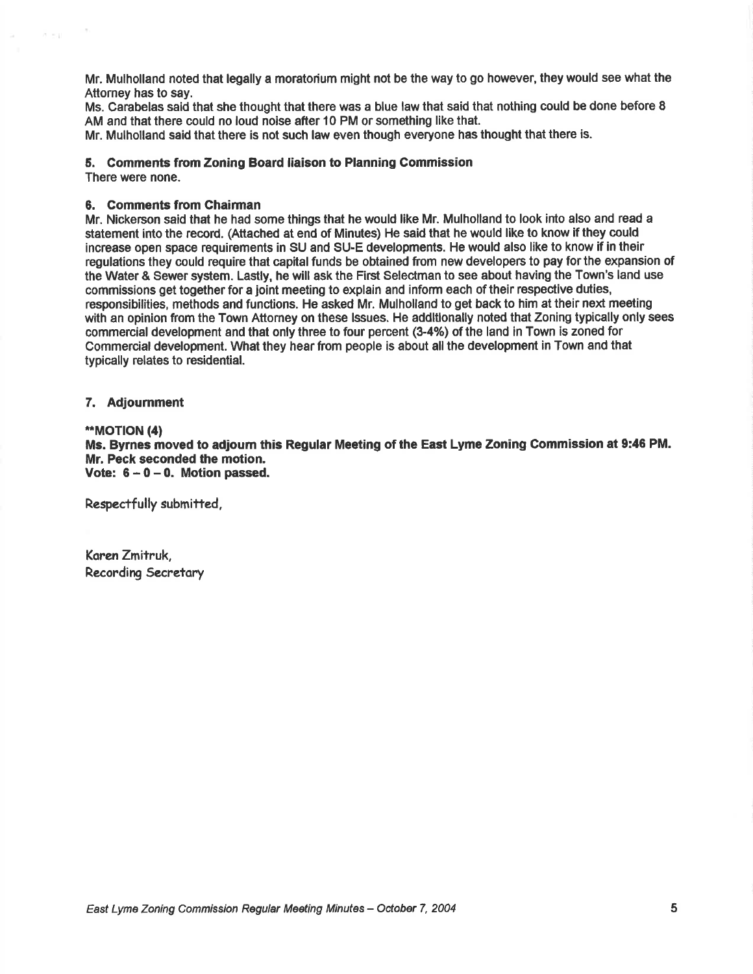Mr. Mulholland noted that legally a moratorium might not be the way to go however, they would see what the Attorney has to say.

Ms. Carabelas said that she thought that there was a blue law that said that nothing could be done before 8 AM and that there could no loud noise after 10 PM or something like that.

Mr. Mulholland said that there is not such law even though everyone has thought that there is.

## 5. Comments from Zoning Board liaison to Planning Commission

There were none.

5.51

## 6. Comments from Chairman

Mr. Nickerson said that he had some things that he would like Mr. Mulholland to look into also and read a statement into the record. (Attached at end of Minutes) He said that he would like to know if they could increase open space requirements in SU and SU-E developments. He would also like to know if in thoir regulations they could require that capital funds be obtained from new developers to pay for the expansion of the Water & Sewer system. Lastly, he will ask the First Selectman to see about having the Town's land use commissions get together for a joint meeting to explain and inform each of their respective duties, responsibilities, methods and functions. He asked Mr. Mulholland to get back to him at their next meeting with an opinion from the Town Attorney on these Issues. He additionally noted that Zoning typically only sees commercial development and that only three to four percent (3-4%) of the land in Town is zoned for Commercial development. What they hear from people is about all the development in Town and that typically relates to residential.

#### 7. Adjoumment

#### \*MOT|ON (4)

Ms. Byrnes moved to adjoum this Regular Meeting of the East Lyme Zoning Commission at 9:46 PM. Mr. Peck seconded the motion, Vote:  $6 - 0 - 0$ . Motion passed.

Respectfully submitted,

Karen Zmitruk, Recording Secretary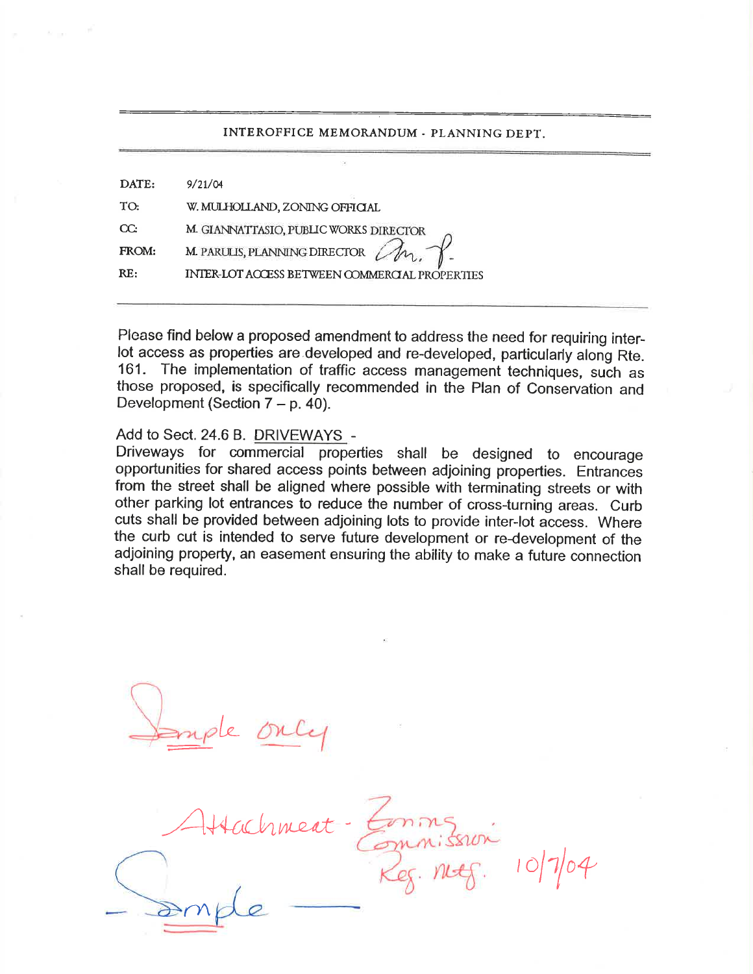## INTEROFFICE MEMORANDUM . PLANNING DEPT.

| DATE:    | 9/21/04                                               |
|----------|-------------------------------------------------------|
| TO.      | W. MULHOLLAND, ZONING OFFICIAL                        |
| $\alpha$ | M. GIANNATTASIO, PUBLIC WORKS DIRECTOR                |
| FROM:    | M. PARULIS, PLANNING DIRECTOR                         |
| RE:      | <b>INTER-LOT ACCESS BETWEEN COMMERCIAL PROPERTIES</b> |
|          |                                                       |

Please find below a proposed amendment to address the need for requiring interlot access as properties are developed and re-developed, particularly along Rte. 161. The implementation of traffic access management techniques, such as those proposed, is specifically recommended in the Plan of Conservation and Development (Section  $7 - p$ . 40).

# Add to Sect. 24.6 B. DRIVEWAYS -

Driveways for commercial properties shall be designed to encourage opportunities for shared access points between adjoining properties. Entrances from the street shall be aligned where possible with terminating streets or with other parking lot entrances to reduce the number of cross-turning areas. Curb cuts shall be provided between adjoining lots to provide inter-lot access. Where the curb cut is intended to serve future development or re-development of the adjoining property, an easement ensuring the ability to make a future connection shall be required.

 $\iota$ 

Attachment  $|7|$  $\gamma$  $m = 6$ . 10/7/04